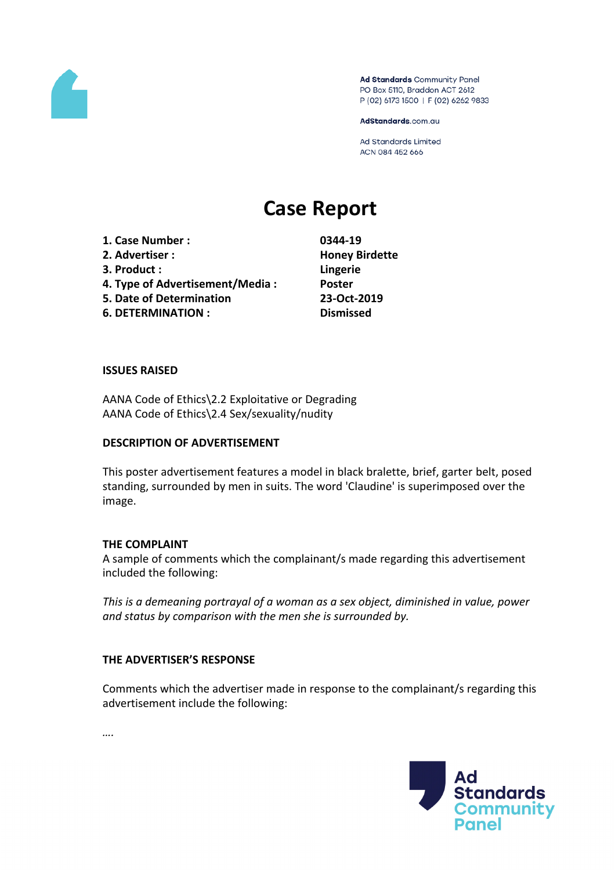

Ad Standards Community Panel PO Box 5110, Braddon ACT 2612 P (02) 6173 1500 | F (02) 6262 9833

AdStandards.com.au

Ad Standards Limited ACN 084 452 666

# **Case Report**

**1. Case Number : 0344-19 2. Advertiser : Honey Birdette 3. Product : Lingerie 4. Type of Advertisement/Media : Poster 5. Date of Determination 23-Oct-2019 6. DETERMINATION : Dismissed**

#### **ISSUES RAISED**

AANA Code of Ethics\2.2 Exploitative or Degrading AANA Code of Ethics\2.4 Sex/sexuality/nudity

### **DESCRIPTION OF ADVERTISEMENT**

This poster advertisement features a model in black bralette, brief, garter belt, posed standing, surrounded by men in suits. The word 'Claudine' is superimposed over the image.

### **THE COMPLAINT**

A sample of comments which the complainant/s made regarding this advertisement included the following:

*This is a demeaning portrayal of a woman as a sex object, diminished in value, power and status by comparison with the men she is surrounded by.*

### **THE ADVERTISER'S RESPONSE**

Comments which the advertiser made in response to the complainant/s regarding this advertisement include the following:



*….*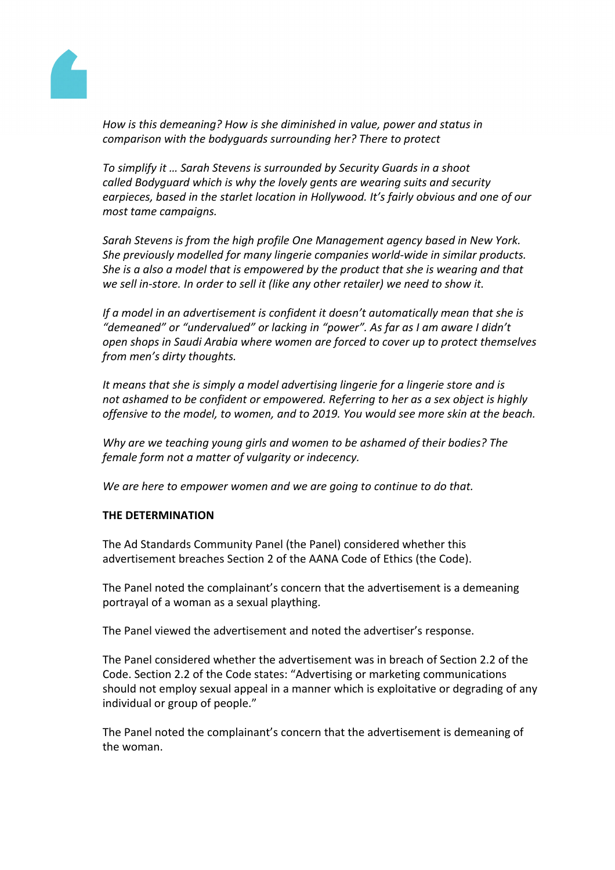

*How is this demeaning? How is she diminished in value, power and status in comparison with the bodyguards surrounding her? There to protect*

*To simplify it … Sarah Stevens is surrounded by Security Guards in a shoot called Bodyguard which is why the lovely gents are wearing suits and security earpieces, based in the starlet location in Hollywood. It's fairly obvious and one of our most tame campaigns.*

*Sarah Stevens is from the high profile One Management agency based in New York. She previously modelled for many lingerie companies world-wide in similar products. She is a also a model that is empowered by the product that she is wearing and that we sell in-store. In order to sell it (like any other retailer) we need to show it.*

*If a model in an advertisement is confident it doesn't automatically mean that she is "demeaned" or "undervalued" or lacking in "power". As far as I am aware I didn't open shops in Saudi Arabia where women are forced to cover up to protect themselves from men's dirty thoughts.*

*It means that she is simply a model advertising lingerie for a lingerie store and is not ashamed to be confident or empowered. Referring to her as a sex object is highly offensive to the model, to women, and to 2019. You would see more skin at the beach.*

*Why are we teaching young girls and women to be ashamed of their bodies? The female form not a matter of vulgarity or indecency.*

*We are here to empower women and we are going to continue to do that.*

## **THE DETERMINATION**

The Ad Standards Community Panel (the Panel) considered whether this advertisement breaches Section 2 of the AANA Code of Ethics (the Code).

The Panel noted the complainant's concern that the advertisement is a demeaning portrayal of a woman as a sexual plaything.

The Panel viewed the advertisement and noted the advertiser's response.

The Panel considered whether the advertisement was in breach of Section 2.2 of the Code. Section 2.2 of the Code states: "Advertising or marketing communications should not employ sexual appeal in a manner which is exploitative or degrading of any individual or group of people."

The Panel noted the complainant's concern that the advertisement is demeaning of the woman.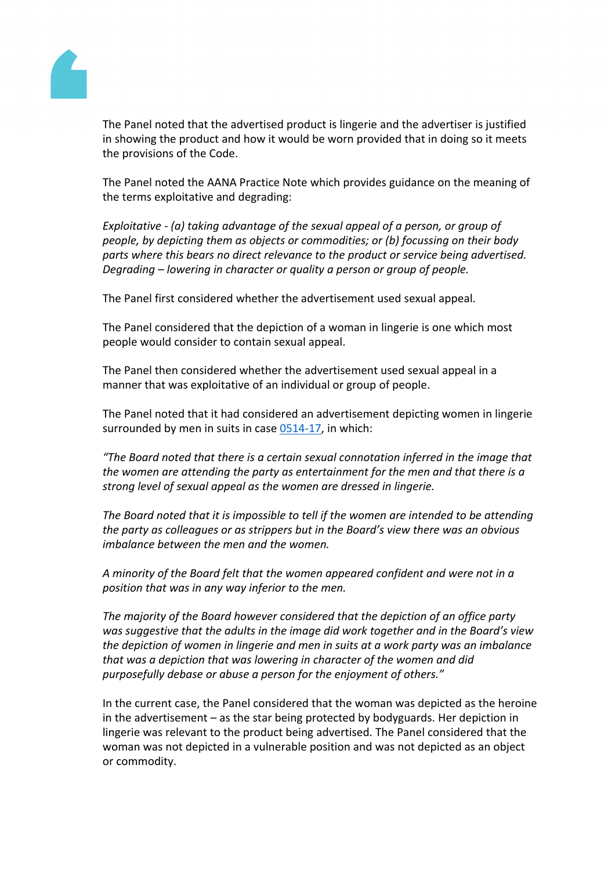ThePanel noted that theadvertised product is lingeriend theadvertiseris justified in showing the productand how itwould be worn provided that in doingso itmeets the provisions ofhe Code.

ThePanel noted the ANA Practice Notwhich providesguidance orthe meaning of the terms exploitative and egrading:

Exploitative (a) taking advantage of the sexual appeared a person, or group of people, by depicting them as objects or commodities; or to focussing on their body parts wherethis bears no direct relevance to theoductor service being advertised. Degrading– lowering incharacteror qualitya personor groupof people.

ThePanel firstconsidered whether the advertisement usedxualappeal.

ThePanel considered that the depiction a woman inlingerieis onewhichmost people wouldconsider tocontainsexual appeal.

ThePanel then considered whether the divertisement used sexual appeal in a manner that was exploitative of an individual or gromf people.

ThePanel noted that it had consideredan advertisementdepicting womenin lingerie surrounded by meim suits in case [0514-1](https://adstandards.com.au/sites/default/files/reports/0514-17.pdf)in which:

"The Boardnoted thatthereis a certain sexualconnotationinferred inthe image that the womenare attending the party as entertainmentor the men and that there is a strong levebf sexualappeal asthe women are dressed lingerie.

TheBoard notedhat it is impossible to telf the womerare intendedo beattending the party ascolleagues as strippers buth the Board's view therewas anobvious imbalance between the men and the women.

A minority of the Board felt that the women appeared confident and derenot in a position that wasin any way inferior to themen.

Themajority of the Board howeveconsidered thathe depiction of an officeparty wassuggestive thathe adultsin the imagedid work together and the Board's view the depiction of womein lingerie and nen in suits at work party was animbalance that was adepiction thatwaslowering incharacterof the womenand did purposefully debaser abuse a persofor the enjoymentof others."

In the currentcase,the Panel consideredthat the woman was depictedas theheroine in the advertisement– as the star beingrotected by bodyguards Her depictionin lingerie was relevant to the product beingadvertised. The Panel considerethat the woman was not epicted in a vulnerable position and was not depicted as an object or commodity.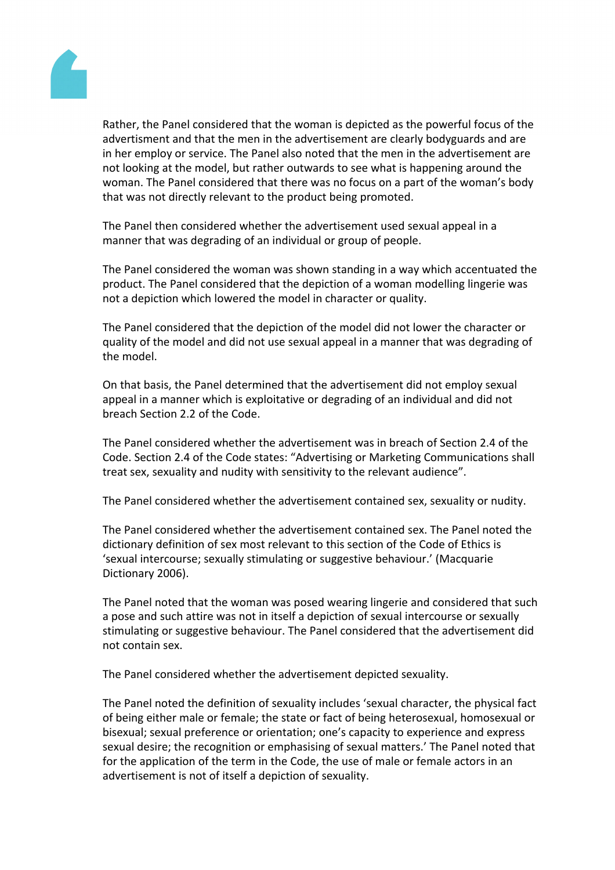

Rather, the Panel considered that the woman is depicted as the powerful focus of the advertisment and that the men in the advertisement are clearly bodyguards and are in her employ or service. The Panel also noted that the men in the advertisement are not looking at the model, but rather outwards to see what is happening around the woman. The Panel considered that there was no focus on a part of the woman's body that was not directly relevant to the product being promoted.

The Panel then considered whether the advertisement used sexual appeal in a manner that was degrading of an individual or group of people.

The Panel considered the woman was shown standing in a way which accentuated the product. The Panel considered that the depiction of a woman modelling lingerie was not a depiction which lowered the model in character or quality.

The Panel considered that the depiction of the model did not lower the character or quality of the model and did not use sexual appeal in a manner that was degrading of the model.

On that basis, the Panel determined that the advertisement did not employ sexual appeal in a manner which is exploitative or degrading of an individual and did not breach Section 2.2 of the Code.

The Panel considered whether the advertisement was in breach of Section 2.4 of the Code. Section 2.4 of the Code states: "Advertising or Marketing Communications shall treat sex, sexuality and nudity with sensitivity to the relevant audience".

The Panel considered whether the advertisement contained sex, sexuality or nudity.

The Panel considered whether the advertisement contained sex. The Panel noted the dictionary definition of sex most relevant to this section of the Code of Ethics is 'sexual intercourse; sexually stimulating or suggestive behaviour.' (Macquarie Dictionary 2006).

The Panel noted that the woman was posed wearing lingerie and considered that such a pose and such attire was not in itself a depiction of sexual intercourse or sexually stimulating or suggestive behaviour. The Panel considered that the advertisement did not contain sex.

The Panel considered whether the advertisement depicted sexuality.

The Panel noted the definition of sexuality includes 'sexual character, the physical fact of being either male or female; the state or fact of being heterosexual, homosexual or bisexual; sexual preference or orientation; one's capacity to experience and express sexual desire; the recognition or emphasising of sexual matters.' The Panel noted that for the application of the term in the Code, the use of male or female actors in an advertisement is not of itself a depiction of sexuality.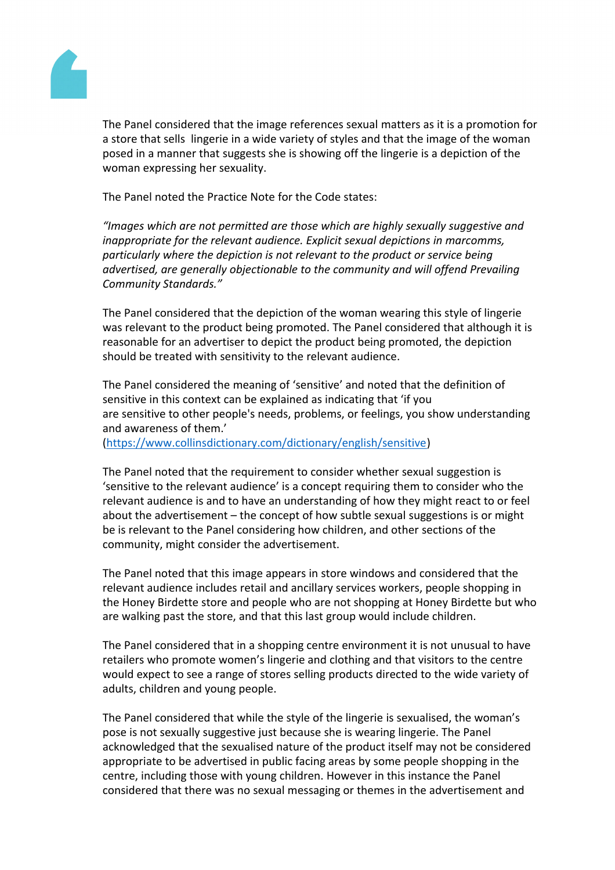ThePanel considered that the image references sexuattersas itis a promotion for a store that sell singerie in awide variety of styles and thathe image of the woman posed in amannerthat suggests shis showing of the lingeries a depiction of the woman expressinger sexuality.

ThePanel noted the Practice Note or the Codestates:

"Images which arenot permitted arethose which are highls exually suggestive and inappropriate forthe relevant audience. Explicit sexual depictions arcomms, particularlywhere thedepictionis not relevant to the productr service being advertised, are generalbojectionableto the community and will offend Prevailing CommunityStandards."

ThePanel considered that the depiction the woman wearing thistyle of lingerie was relevanto the product being promoted. The Panel considered at although itis reasonable foranadvertiser to depicthe product being promoted, the epiction should betreatedwith sensitivity to therelevant audience.

ThePanel considered the meaning of 'sensitive' and note dat the definition of sensitive in this context can be explained as indicating hat 'if you are sensitive to ther people's needs, problems, or feelings, you show understanding and awareness fthem.'

[\(https://www.collinsdictionary.com/dictionary/english/sensitiv](https://www.collinsdictionary.com/dictionary/english/sensitive)e[\)](https://www.collinsdictionary.com/dictionary/english/sensitive)

ThePanel noted that the equirement to considerwhether sexualsuggestionis 'sensitiveto the relevantaudience' is a concept requirinulgem to considerwho the relevant audience iand to havean understanding fhow they might react to or feel about theadvertisement  $-$  the concept of how subtle sexual passions or might be isrelevantto the Panel considering how children, and other settions of the community, mightconsiderthe advertisement.

ThePanel noted that thismageappearsin store windows and onsidered that the relevant audience includes tail and ancillary service workers, people shoppingin the HoneyBirdette store and people ho arenot shopping at loney Birdette butwho are walkingpast the store, and hat this last group would include children.

ThePanel considered that in a shopping centre environment intotunusual to have retailers whopromote women'slingerie and bothing and hat visitorsto the centre would expectto see a rangef stores selling productstirected to thewide variety of adults, children and youngeople.

ThePanel considered that while the style of the lingesige and iseathe woman's pose is not sexually suggestive just because is wearing lingerie. The Panel acknowledged that theexualised naturef the product itselfmaynot beconsidered appropriate tobe advertised in public facing areassome peopleshopping in the centre, includingthose with young children.Howeverin this instance the Panel considered that therewasno sexualmessaging othemesin the advertisementand